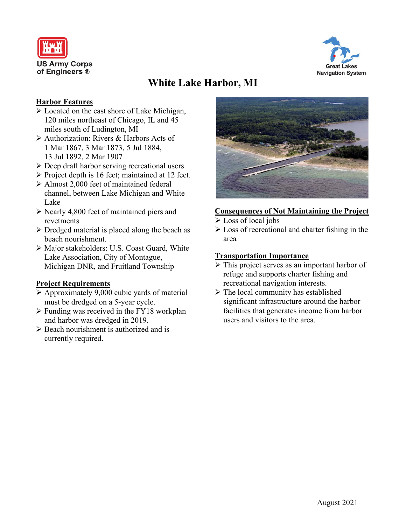



# **White Lake Harbor, MI**

#### **Harbor Features**

- Located on the east shore of Lake Michigan, 120 miles northeast of Chicago, IL and 45 miles south of Ludington, MI
- Authorization: Rivers & Harbors Acts of 1 Mar 1867, 3 Mar 1873, 5 Jul 1884, 13 Jul 1892, 2 Mar 1907
- $\triangleright$  Deep draft harbor serving recreational users
- $\triangleright$  Project depth is 16 feet; maintained at 12 feet.
- Almost 2,000 feet of maintained federal channel, between Lake Michigan and White Lake
- $\triangleright$  Nearly 4,800 feet of maintained piers and revetments
- $\blacktriangleright$  Dredged material is placed along the beach as beach nourishment.
- Major stakeholders: U.S. Coast Guard, White Lake Association, City of Montague, Michigan DNR, and Fruitland Township

### **Project Requirements**

- $\triangleright$  Approximately 9,000 cubic yards of material must be dredged on a 5-year cycle.
- $\triangleright$  Funding was received in the FY18 workplan and harbor was dredged in 2019.
- ▶ Beach nourishment is authorized and is currently required.



### **Consequences of Not Maintaining the Project**

- Loss of local jobs
- $\triangleright$  Loss of recreational and charter fishing in the area

#### **Transportation Importance**

- $\triangleright$  This project serves as an important harbor of refuge and supports charter fishing and recreational navigation interests.
- $\triangleright$  The local community has established significant infrastructure around the harbor facilities that generates income from harbor users and visitors to the area.